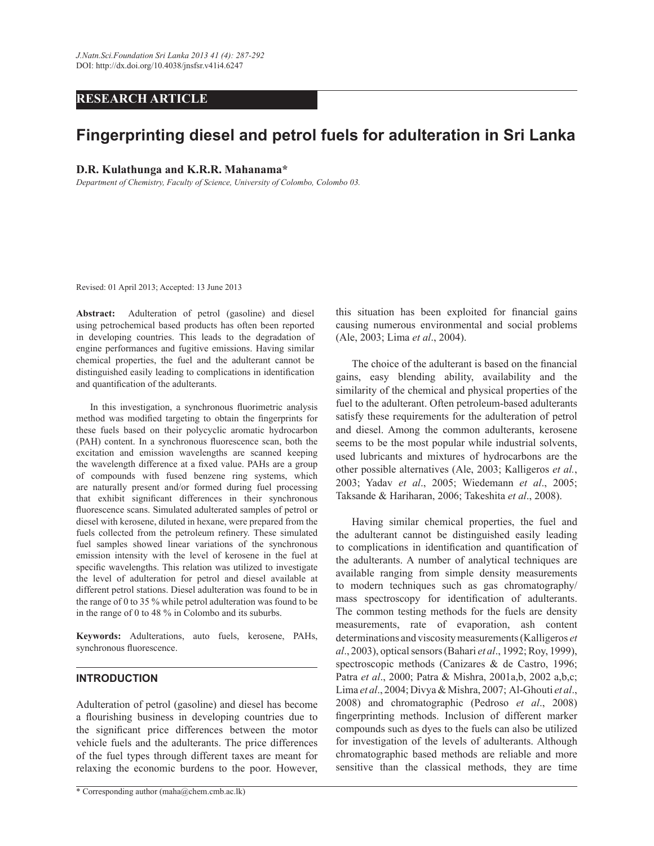# **RESEARCH ARTICLE**

# **Fingerprinting diesel and petrol fuels for adulteration in Sri Lanka**

## **D.R. Kulathunga and K.R.R. Mahanama\***

*Department of Chemistry, Faculty of Science, University of Colombo, Colombo 03.*

Revised: 01 April 2013; Accepted: 13 June 2013

**Abstract:** Adulteration of petrol (gasoline) and diesel using petrochemical based products has often been reported in developing countries. This leads to the degradation of engine performances and fugitive emissions. Having similar chemical properties, the fuel and the adulterant cannot be distinguished easily leading to complications in identification and quantification of the adulterants.

In this investigation, a synchronous fluorimetric analysis method was modified targeting to obtain the fingerprints for these fuels based on their polycyclic aromatic hydrocarbon (PAH) content. In a synchronous fluorescence scan, both the excitation and emission wavelengths are scanned keeping the wavelength difference at a fixed value. PAHs are a group of compounds with fused benzene ring systems, which are naturally present and/or formed during fuel processing that exhibit significant differences in their synchronous fluorescence scans. Simulated adulterated samples of petrol or diesel with kerosene, diluted in hexane, were prepared from the fuels collected from the petroleum refinery. These simulated fuel samples showed linear variations of the synchronous emission intensity with the level of kerosene in the fuel at specific wavelengths. This relation was utilized to investigate the level of adulteration for petrol and diesel available at different petrol stations. Diesel adulteration was found to be in the range of 0 to 35 % while petrol adulteration was found to be in the range of 0 to 48 % in Colombo and its suburbs.

**Keywords:** Adulterations, auto fuels, kerosene, PAHs, synchronous fluorescence.

#### **INTRODUCTION**

Adulteration of petrol (gasoline) and diesel has become a flourishing business in developing countries due to the significant price differences between the motor vehicle fuels and the adulterants. The price differences of the fuel types through different taxes are meant for relaxing the economic burdens to the poor. However, this situation has been exploited for financial gains causing numerous environmental and social problems (Ale, 2003; Lima *et al*., 2004).

The choice of the adulterant is based on the financial gains, easy blending ability, availability and the similarity of the chemical and physical properties of the fuel to the adulterant. Often petroleum-based adulterants satisfy these requirements for the adulteration of petrol and diesel. Among the common adulterants, kerosene seems to be the most popular while industrial solvents, used lubricants and mixtures of hydrocarbons are the other possible alternatives (Ale, 2003; Kalligeros *et al.*, 2003; Yadav *et al*., 2005; Wiedemann *et al*., 2005; Taksande & Hariharan, 2006; Takeshita *et al*., 2008).

 Having similar chemical properties, the fuel and the adulterant cannot be distinguished easily leading to complications in identification and quantification of the adulterants. A number of analytical techniques are available ranging from simple density measurements to modern techniques such as gas chromatography/ mass spectroscopy for identification of adulterants. The common testing methods for the fuels are density measurements, rate of evaporation, ash content determinations and viscosity measurements (Kalligeros *et al*., 2003), optical sensors (Bahari *et al*., 1992; Roy, 1999), spectroscopic methods (Canizares & de Castro, 1996; Patra *et al*., 2000; Patra & Mishra, 2001a,b, 2002 a,b,c; Lima *et al*., 2004; Divya & Mishra, 2007; Al-Ghouti *et al*., 2008) and chromatographic (Pedroso *et al*., 2008) fingerprinting methods. Inclusion of different marker compounds such as dyes to the fuels can also be utilized for investigation of the levels of adulterants. Although chromatographic based methods are reliable and more sensitive than the classical methods, they are time

<sup>\*</sup> Corresponding author (maha@chem.cmb.ac.lk)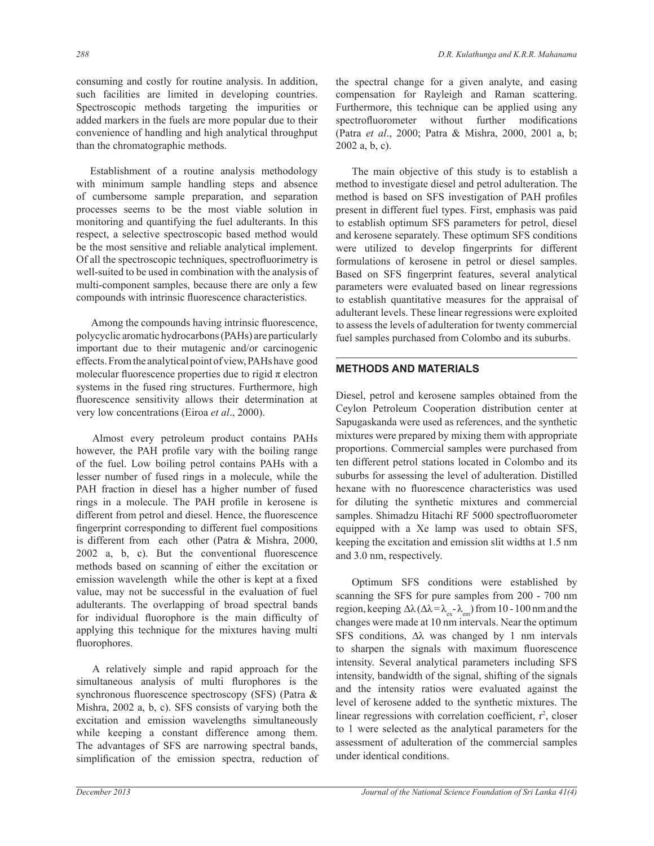consuming and costly for routine analysis. In addition, such facilities are limited in developing countries. Spectroscopic methods targeting the impurities or added markers in the fuels are more popular due to their convenience of handling and high analytical throughput than the chromatographic methods.

 Establishment of a routine analysis methodology with minimum sample handling steps and absence of cumbersome sample preparation, and separation processes seems to be the most viable solution in monitoring and quantifying the fuel adulterants. In this respect, a selective spectroscopic based method would be the most sensitive and reliable analytical implement. Of all the spectroscopic techniques, spectrofluorimetry is well-suited to be used in combination with the analysis of multi-component samples, because there are only a few compounds with intrinsic fluorescence characteristics.

Among the compounds having intrinsic fluorescence, polycyclic aromatic hydrocarbons (PAHs) are particularly important due to their mutagenic and/or carcinogenic effects. From the analytical point of view, PAHs have good molecular fluorescence properties due to rigid  $\pi$  electron systems in the fused ring structures. Furthermore, high fluorescence sensitivity allows their determination at very low concentrations (Eiroa *et al*., 2000).

 Almost every petroleum product contains PAHs however, the PAH profile vary with the boiling range of the fuel. Low boiling petrol contains PAHs with a lesser number of fused rings in a molecule, while the PAH fraction in diesel has a higher number of fused rings in a molecule. The PAH profile in kerosene is different from petrol and diesel. Hence, the fluorescence fingerprint corresponding to different fuel compositions is different from each other (Patra & Mishra, 2000, 2002 a, b, c). But the conventional fluorescence methods based on scanning of either the excitation or emission wavelength while the other is kept at a fixed value, may not be successful in the evaluation of fuel adulterants. The overlapping of broad spectral bands for individual fluorophore is the main difficulty of applying this technique for the mixtures having multi fluorophores.

 A relatively simple and rapid approach for the simultaneous analysis of multi flurophores is the synchronous fluorescence spectroscopy (SFS) (Patra & Mishra, 2002 a, b, c). SFS consists of varying both the excitation and emission wavelengths simultaneously while keeping a constant difference among them. The advantages of SFS are narrowing spectral bands, simplification of the emission spectra, reduction of the spectral change for a given analyte, and easing compensation for Rayleigh and Raman scattering. Furthermore, this technique can be applied using any spectrofluorometer without further modifications (Patra *et al*., 2000; Patra & Mishra, 2000, 2001 a, b; 2002 a, b, c).

 The main objective of this study is to establish a method to investigate diesel and petrol adulteration. The method is based on SFS investigation of PAH profiles present in different fuel types. First, emphasis was paid to establish optimum SFS parameters for petrol, diesel and kerosene separately. These optimum SFS conditions were utilized to develop fingerprints for different formulations of kerosene in petrol or diesel samples. Based on SFS fingerprint features, several analytical parameters were evaluated based on linear regressions to establish quantitative measures for the appraisal of adulterant levels. These linear regressions were exploited to assess the levels of adulteration for twenty commercial fuel samples purchased from Colombo and its suburbs.

# **METHODS AND MATERIALS**

Diesel, petrol and kerosene samples obtained from the Ceylon Petroleum Cooperation distribution center at Sapugaskanda were used as references, and the synthetic mixtures were prepared by mixing them with appropriate proportions. Commercial samples were purchased from ten different petrol stations located in Colombo and its suburbs for assessing the level of adulteration. Distilled hexane with no fluorescence characteristics was used for diluting the synthetic mixtures and commercial samples. Shimadzu Hitachi RF 5000 spectrofluorometer equipped with a Xe lamp was used to obtain SFS, keeping the excitation and emission slit widths at 1.5 nm and 3.0 nm, respectively.

 Optimum SFS conditions were established by scanning the SFS for pure samples from 200 - 700 nm region, keeping  $\Delta\lambda$  ( $\Delta\lambda = \lambda_{ex} - \lambda_{em}$ ) from 10 - 100 nm and the changes were made at 10 nm intervals. Near the optimum SFS conditions,  $\Delta\lambda$  was changed by 1 nm intervals to sharpen the signals with maximum fluorescence intensity. Several analytical parameters including SFS intensity, bandwidth of the signal, shifting of the signals and the intensity ratios were evaluated against the level of kerosene added to the synthetic mixtures. The linear regressions with correlation coefficient,  $r^2$ , closer to 1 were selected as the analytical parameters for the assessment of adulteration of the commercial samples under identical conditions.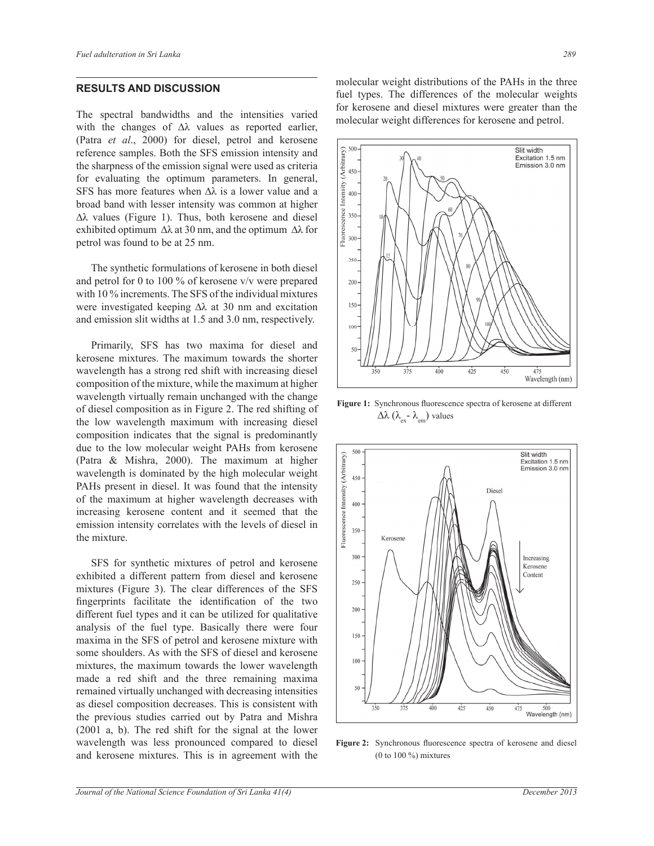## **RESULTS AND DISCUSSION**

The spectral bandwidths and the intensities varied with the changes of ∆λ values as reported earlier, (Patra *et al*., 2000) for diesel, petrol and kerosene reference samples. Both the SFS emission intensity and the sharpness of the emission signal were used as criteria for evaluating the optimum parameters. In general, SFS has more features when  $\Delta\lambda$  is a lower value and a broad band with lesser intensity was common at higher ∆λ values (Figure 1). Thus, both kerosene and diesel exhibited optimum  $\Delta\lambda$  at 30 nm, and the optimum  $\Delta\lambda$  for petrol was found to be at 25 nm.

 The synthetic formulations of kerosene in both diesel and petrol for 0 to 100 % of kerosene v/v were prepared with 10 % increments. The SFS of the individual mixtures were investigated keeping ∆λ at 30 nm and excitation and emission slit widths at 1.5 and 3.0 nm, respectively.

 Primarily, SFS has two maxima for diesel and kerosene mixtures. The maximum towards the shorter wavelength has a strong red shift with increasing diesel composition of the mixture, while the maximum at higher wavelength virtually remain unchanged with the change of diesel composition as in Figure 2. The red shifting of the low wavelength maximum with increasing diesel composition indicates that the signal is predominantly due to the low molecular weight PAHs from kerosene (Patra & Mishra, 2000). The maximum at higher wavelength is dominated by the high molecular weight PAHs present in diesel. It was found that the intensity of the maximum at higher wavelength decreases with increasing kerosene content and it seemed that the emission intensity correlates with the levels of diesel in the mixture.

 SFS for synthetic mixtures of petrol and kerosene exhibited a different pattern from diesel and kerosene mixtures (Figure 3). The clear differences of the SFS fingerprints facilitate the identification of the two different fuel types and it can be utilized for qualitative analysis of the fuel type. Basically there were four maxima in the SFS of petrol and kerosene mixture with some shoulders. As with the SFS of diesel and kerosene mixtures, the maximum towards the lower wavelength made a red shift and the three remaining maxima remained virtually unchanged with decreasing intensities as diesel composition decreases. This is consistent with the previous studies carried out by Patra and Mishra (2001 a, b). The red shift for the signal at the lower wavelength was less pronounced compared to diesel and kerosene mixtures. This is in agreement with the

molecular weight distributions of the PAHs in the three fuel types. The differences of the molecular weights for kerosene and diesel mixtures were greater than the molecular weight differences for kerosene and petrol.



**Figure 1:** Synchronous fluorescence spectra of kerosene at different  $Δλ (λ_{ex} - λ_{em})$  values



**Figure 2:** Synchronous fluorescence spectra of kerosene and diesel (0 to 100 %) mixtures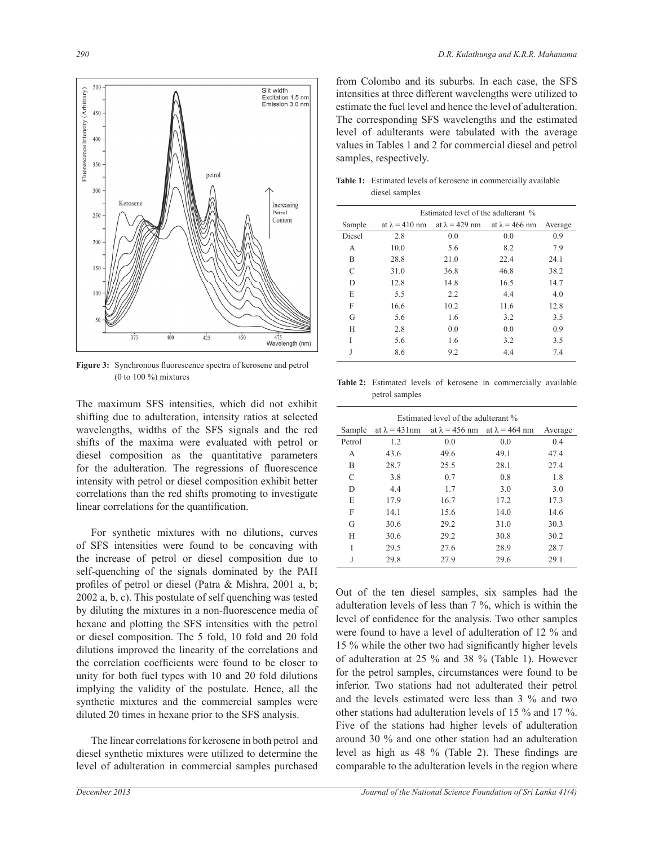

**Figure 3:** Synchronous fluorescence spectra of kerosene and petrol (0 to 100 %) mixtures

The maximum SFS intensities, which did not exhibit shifting due to adulteration, intensity ratios at selected wavelengths, widths of the SFS signals and the red shifts of the maxima were evaluated with petrol or diesel composition as the quantitative parameters for the adulteration. The regressions of fluorescence intensity with petrol or diesel composition exhibit better correlations than the red shifts promoting to investigate linear correlations for the quantification.

 For synthetic mixtures with no dilutions, curves of SFS intensities were found to be concaving with the increase of petrol or diesel composition due to self-quenching of the signals dominated by the PAH profiles of petrol or diesel (Patra & Mishra, 2001 a, b; 2002 a, b, c). This postulate of self quenching was tested by diluting the mixtures in a non-fluorescence media of hexane and plotting the SFS intensities with the petrol or diesel composition. The 5 fold, 10 fold and 20 fold dilutions improved the linearity of the correlations and the correlation coefficients were found to be closer to unity for both fuel types with 10 and 20 fold dilutions implying the validity of the postulate. Hence, all the synthetic mixtures and the commercial samples were diluted 20 times in hexane prior to the SFS analysis.

 The linear correlations for kerosene in both petrol and diesel synthetic mixtures were utilized to determine the level of adulteration in commercial samples purchased from Colombo and its suburbs. In each case, the SFS intensities at three different wavelengths were utilized to estimate the fuel level and hence the level of adulteration. The corresponding SFS wavelengths and the estimated level of adulterants were tabulated with the average values in Tables 1 and 2 for commercial diesel and petrol samples, respectively.

|        | Estimated level of the adulterant % |                                             |      |         |  |
|--------|-------------------------------------|---------------------------------------------|------|---------|--|
| Sample | at $\lambda = 410$ nm               | at $\lambda$ = 429 nm at $\lambda$ = 466 nm |      | Average |  |
| Diesel | 2.8                                 | 0.0                                         | 0.0  | 0.9     |  |
| A      | 10.0                                | 5.6                                         | 8.2  | 7.9     |  |
| B      | 28.8                                | 21.0                                        | 22.4 | 24.1    |  |
| C      | 31.0                                | 36.8                                        | 46.8 | 38.2    |  |
| D      | 12.8                                | 14.8                                        | 16.5 | 14.7    |  |
| E      | 5.5                                 | 2.2                                         | 4.4  | 4.0     |  |
| F      | 16.6                                | 10.2                                        | 11.6 | 12.8    |  |
| G      | 5.6                                 | 1.6                                         | 3.2  | 3.5     |  |
| H      | 2.8                                 | 0.0                                         | 0.0  | 0.9     |  |
| I      | 5.6                                 | 1.6                                         | 3.2  | 3.5     |  |
| J      | 8.6                                 | 9.2                                         | 4.4  | 7.4     |  |

**Table 1:** Estimated levels of kerosene in commercially available diesel samples

**Table 2:** Estimated levels of kerosene in commercially available petrol samples

| Estimated level of the adulterant % |                      |                                             |      |         |  |  |
|-------------------------------------|----------------------|---------------------------------------------|------|---------|--|--|
| Sample                              | at $\lambda$ = 431nm | at $\lambda$ = 456 nm at $\lambda$ = 464 nm |      | Average |  |  |
| Petrol                              | 1.2                  | 0.0                                         | 0.0  | 0.4     |  |  |
| A                                   | 43.6                 | 49.6                                        | 49.1 | 47.4    |  |  |
| B                                   | 28.7                 | 25.5                                        | 28.1 | 27.4    |  |  |
| C                                   | 3.8                  | 0.7                                         | 0.8  | 1.8     |  |  |
| D                                   | 4.4                  | 1.7                                         | 3.0  | 3.0     |  |  |
| E                                   | 17.9                 | 16.7                                        | 17.2 | 17.3    |  |  |
| F                                   | 14.1                 | 15.6                                        | 14.0 | 14.6    |  |  |
| G                                   | 30.6                 | 29.2                                        | 31.0 | 30.3    |  |  |
| H                                   | 30.6                 | 29.2                                        | 30.8 | 30.2    |  |  |
| I                                   | 29.5                 | 27.6                                        | 28.9 | 28.7    |  |  |
| J                                   | 29.8                 | 27.9                                        | 29.6 | 29.1    |  |  |

Out of the ten diesel samples, six samples had the adulteration levels of less than 7 %, which is within the level of confidence for the analysis. Two other samples were found to have a level of adulteration of 12 % and 15 % while the other two had significantly higher levels of adulteration at 25 % and 38 % (Table 1). However for the petrol samples, circumstances were found to be inferior. Two stations had not adulterated their petrol and the levels estimated were less than 3 % and two other stations had adulteration levels of 15 % and 17 %. Five of the stations had higher levels of adulteration around 30 % and one other station had an adulteration level as high as 48 % (Table 2). These findings are comparable to the adulteration levels in the region where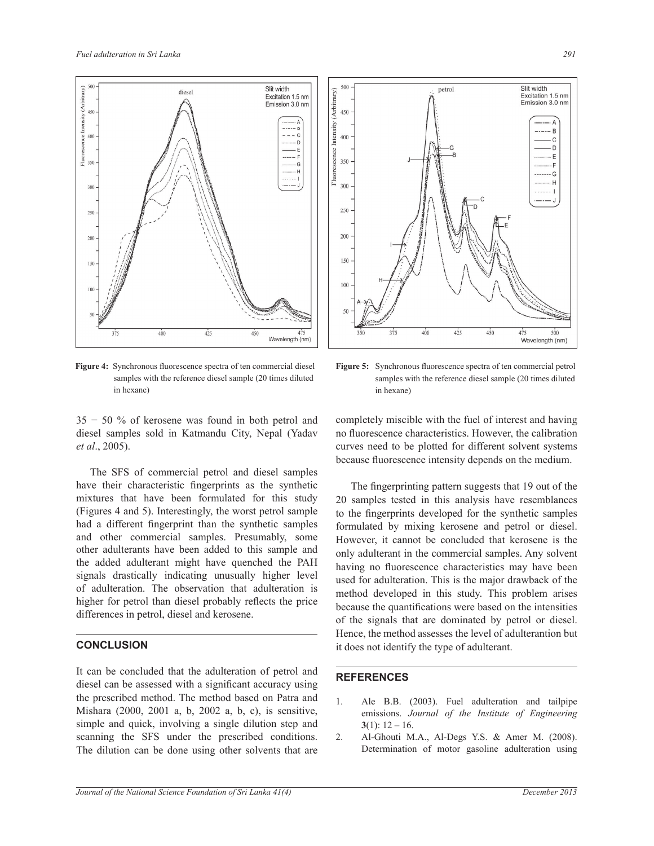

**Figure 4:** Synchronous fluorescence spectra of ten commercial diesel samples with the reference diesel sample (20 times diluted in hexane)



**Figure 5:** Synchronous fluorescence spectra of ten commercial petrol samples with the reference diesel sample (20 times diluted in hexane)

35 − 50 % of kerosene was found in both petrol and diesel samples sold in Katmandu City, Nepal (Yadav *et al*., 2005).

 The SFS of commercial petrol and diesel samples have their characteristic fingerprints as the synthetic mixtures that have been formulated for this study (Figures 4 and 5). Interestingly, the worst petrol sample had a different fingerprint than the synthetic samples and other commercial samples. Presumably, some other adulterants have been added to this sample and the added adulterant might have quenched the PAH signals drastically indicating unusually higher level of adulteration. The observation that adulteration is higher for petrol than diesel probably reflects the price differences in petrol, diesel and kerosene.

### **CONCLUSION**

It can be concluded that the adulteration of petrol and diesel can be assessed with a significant accuracy using the prescribed method. The method based on Patra and Mishara (2000, 2001 a, b, 2002 a, b, c), is sensitive, simple and quick, involving a single dilution step and scanning the SFS under the prescribed conditions. The dilution can be done using other solvents that are completely miscible with the fuel of interest and having no fluorescence characteristics. However, the calibration curves need to be plotted for different solvent systems because fluorescence intensity depends on the medium.

The fingerprinting pattern suggests that 19 out of the 20 samples tested in this analysis have resemblances to the fingerprints developed for the synthetic samples formulated by mixing kerosene and petrol or diesel. However, it cannot be concluded that kerosene is the only adulterant in the commercial samples. Any solvent having no fluorescence characteristics may have been used for adulteration. This is the major drawback of the method developed in this study. This problem arises because the quantifications were based on the intensities of the signals that are dominated by petrol or diesel. Hence, the method assesses the level of adulterantion but it does not identify the type of adulterant.

### $\overline{a}$ **REFERENCES**

- 1. Ale B.B. (2003). Fuel adulteration and tailpipe emissions. *Journal of the Institute of Engineering* **3**(1): 12 – 16.
- 2. Al-Ghouti M.A., Al-Degs Y.S. & Amer M. (2008). Determination of motor gasoline adulteration using